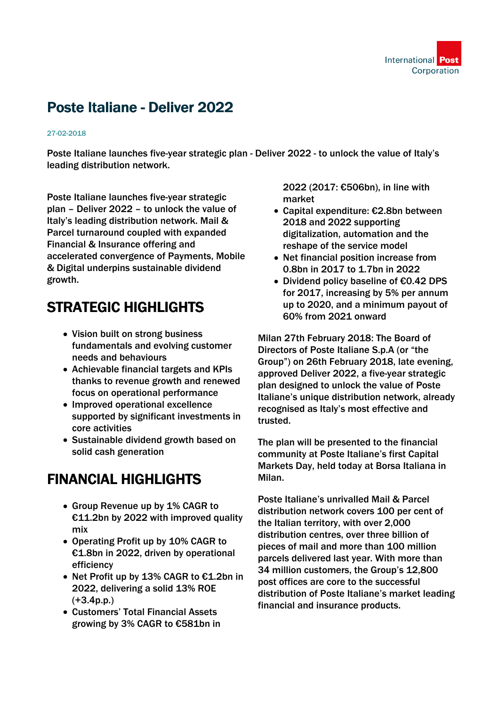

# Poste Italiane - Deliver 2022

#### 27-02-2018

Poste Italiane launches five-year strategic plan - Deliver 2022 - to unlock the value of Italy's leading distribution network.

Poste Italiane launches five-year strategic plan – Deliver 2022 – to unlock the value of Italy's leading distribution network. Mail & Parcel turnaround coupled with expanded Financial & Insurance offering and accelerated convergence of Payments, Mobile & Digital underpins sustainable dividend growth.

# STRATEGIC HIGHLIGHTS

- Vision built on strong business fundamentals and evolving customer needs and behaviours
- Achievable financial targets and KPIs thanks to revenue growth and renewed focus on operational performance
- Improved operational excellence supported by significant investments in core activities
- Sustainable dividend growth based on solid cash generation

### FINANCIAL HIGHLIGHTS

- Group Revenue up by 1% CAGR to €11.2bn by 2022 with improved quality mix
- Operating Profit up by 10% CAGR to €1.8bn in 2022, driven by operational efficiency
- Net Profit up by 13% CAGR to €1.2bn in 2022, delivering a solid 13% ROE (+3.4p.p.)
- Customers' Total Financial Assets growing by 3% CAGR to €581bn in

2022 (2017: €506bn), in line with market

- Capital expenditure: €2.8bn between 2018 and 2022 supporting digitalization, automation and the reshape of the service model
- Net financial position increase from 0.8bn in 2017 to 1.7bn in 2022
- Dividend policy baseline of €0.42 DPS for 2017, increasing by 5% per annum up to 2020, and a minimum payout of 60% from 2021 onward

Milan 27th February 2018: The Board of Directors of Poste Italiane S.p.A (or "the Group") on 26th February 2018, late evening, approved Deliver 2022, a five-year strategic plan designed to unlock the value of Poste Italiane's unique distribution network, already recognised as Italy's most effective and trusted.

The plan will be presented to the financial community at Poste Italiane's first Capital Markets Day, held today at Borsa Italiana in Milan.

Poste Italiane's unrivalled Mail & Parcel distribution network covers 100 per cent of the Italian territory, with over 2,000 distribution centres, over three billion of pieces of mail and more than 100 million parcels delivered last year. With more than 34 million customers, the Group's 12,800 post offices are core to the successful distribution of Poste Italiane's market leading financial and insurance products.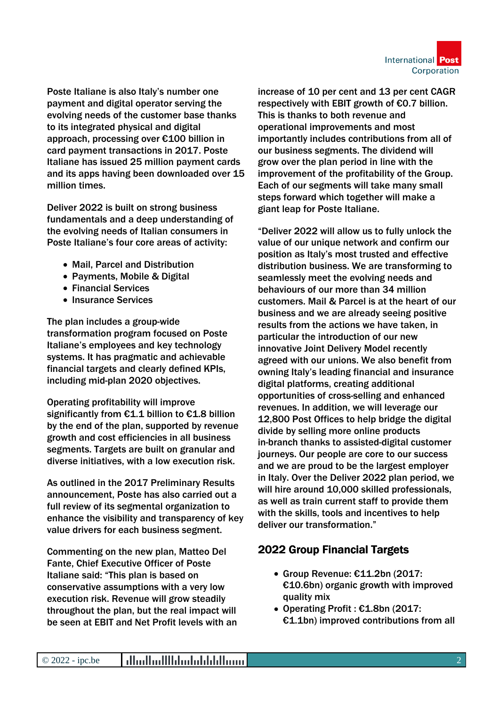

Poste Italiane is also Italy's number one payment and digital operator serving the evolving needs of the customer base thanks to its integrated physical and digital approach, processing over €100 billion in card payment transactions in 2017. Poste Italiane has issued 25 million payment cards and its apps having been downloaded over 15 million times.

Deliver 2022 is built on strong business fundamentals and a deep understanding of the evolving needs of Italian consumers in Poste Italiane's four core areas of activity:

- Mail, Parcel and Distribution
- Payments, Mobile & Digital
- Financial Services
- Insurance Services

The plan includes a group-wide transformation program focused on Poste Italiane's employees and key technology systems. It has pragmatic and achievable financial targets and clearly defined KPIs, including mid-plan 2020 objectives.

Operating profitability will improve significantly from €1.1 billion to €1.8 billion by the end of the plan, supported by revenue growth and cost efficiencies in all business segments. Targets are built on granular and diverse initiatives, with a low execution risk.

As outlined in the 2017 Preliminary Results announcement, Poste has also carried out a full review of its segmental organization to enhance the visibility and transparency of key value drivers for each business segment.

Commenting on the new plan, Matteo Del Fante, Chief Executive Officer of Poste Italiane said: "This plan is based on conservative assumptions with a very low execution risk. Revenue will grow steadily throughout the plan, but the real impact will be seen at EBIT and Net Profit levels with an increase of 10 per cent and 13 per cent CAGR respectively with EBIT growth of €0.7 billion. This is thanks to both revenue and operational improvements and most importantly includes contributions from all of our business segments. The dividend will grow over the plan period in line with the improvement of the profitability of the Group. Each of our segments will take many small steps forward which together will make a giant leap for Poste Italiane.

"Deliver 2022 will allow us to fully unlock the value of our unique network and confirm our position as Italy's most trusted and effective distribution business. We are transforming to seamlessly meet the evolving needs and behaviours of our more than 34 million customers. Mail & Parcel is at the heart of our business and we are already seeing positive results from the actions we have taken, in particular the introduction of our new innovative Joint Delivery Model recently agreed with our unions. We also benefit from owning Italy's leading financial and insurance digital platforms, creating additional opportunities of cross-selling and enhanced revenues. In addition, we will leverage our 12,800 Post Offices to help bridge the digital divide by selling more online products in-branch thanks to assisted-digital customer journeys. Our people are core to our success and we are proud to be the largest employer in Italy. Over the Deliver 2022 plan period, we will hire around 10,000 skilled professionals, as well as train current staff to provide them with the skills, tools and incentives to help deliver our transformation."

#### 2022 Group Financial Targets

- Group Revenue: €11.2bn (2017: €10.6bn) organic growth with improved quality mix
- Operating Profit : €1.8bn (2017: €1.1bn) improved contributions from all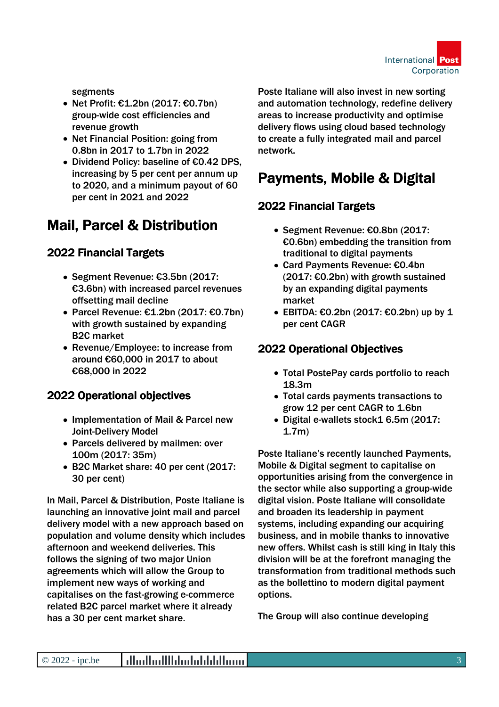

segments

- Net Profit: €1.2bn (2017: €0.7bn) group-wide cost efficiencies and revenue growth
- Net Financial Position: going from 0.8bn in 2017 to 1.7bn in 2022
- Dividend Policy: baseline of €0.42 DPS, increasing by 5 per cent per annum up to 2020, and a minimum payout of 60 per cent in 2021 and 2022

## Mail, Parcel & Distribution

### 2022 Financial Targets

- Segment Revenue: €3.5bn (2017: €3.6bn) with increased parcel revenues offsetting mail decline
- Parcel Revenue: €1.2bn (2017: €0.7bn) with growth sustained by expanding B2C market
- Revenue/Employee: to increase from around €60,000 in 2017 to about €68,000 in 2022

#### 2022 Operational objectives

- Implementation of Mail & Parcel new Joint-Delivery Model
- Parcels delivered by mailmen: over 100m (2017: 35m)
- B2C Market share: 40 per cent (2017: 30 per cent)

In Mail, Parcel & Distribution, Poste Italiane is launching an innovative joint mail and parcel delivery model with a new approach based on population and volume density which includes afternoon and weekend deliveries. This follows the signing of two major Union agreements which will allow the Group to implement new ways of working and capitalises on the fast-growing e-commerce related B2C parcel market where it already has a 30 per cent market share.

Poste Italiane will also invest in new sorting and automation technology, redefine delivery areas to increase productivity and optimise delivery flows using cloud based technology to create a fully integrated mail and parcel network.

### Payments, Mobile & Digital

### 2022 Financial Targets

- Segment Revenue: €0.8bn (2017: €0.6bn) embedding the transition from traditional to digital payments
- Card Payments Revenue: €0.4bn (2017: €0.2bn) with growth sustained by an expanding digital payments market
- $\bullet$  EBITDA: €0.2bn (2017: €0.2bn) up by 1 per cent CAGR

### 2022 Operational Objectives

- Total PostePay cards portfolio to reach 18.3m
- Total cards payments transactions to grow 12 per cent CAGR to 1.6bn
- Digital e-wallets stock1 6.5m (2017: 1.7m)

Poste Italiane's recently launched Payments, Mobile & Digital segment to capitalise on opportunities arising from the convergence in the sector while also supporting a group-wide digital vision. Poste Italiane will consolidate and broaden its leadership in payment systems, including expanding our acquiring business, and in mobile thanks to innovative new offers. Whilst cash is still king in Italy this division will be at the forefront managing the transformation from traditional methods such as the bollettino to modern digital payment options.

The Group will also continue developing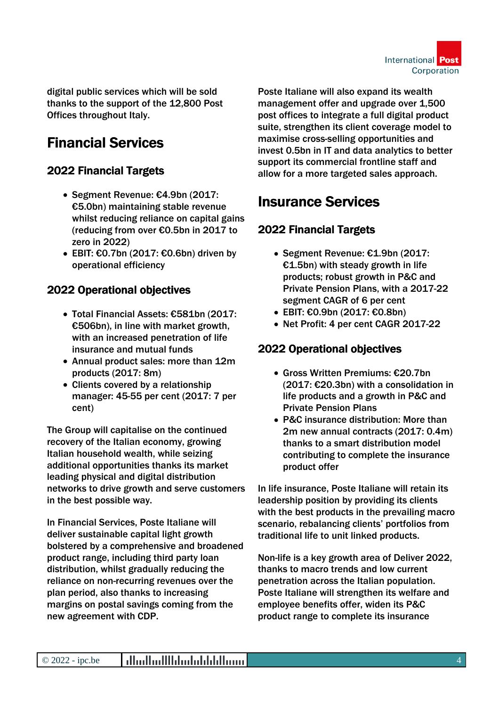

digital public services which will be sold thanks to the support of the 12,800 Post Offices throughout Italy.

# Financial Services

### 2022 Financial Targets

- Segment Revenue: €4.9bn (2017: €5.0bn) maintaining stable revenue whilst reducing reliance on capital gains (reducing from over €0.5bn in 2017 to zero in 2022)
- $\bullet$  EBIT: €0.7bn (2017: €0.6bn) driven by operational efficiency

### 2022 Operational objectives

- Total Financial Assets: €581bn (2017: €506bn), in line with market growth, with an increased penetration of life insurance and mutual funds
- Annual product sales: more than 12m products (2017: 8m)
- Clients covered by a relationship manager: 45-55 per cent (2017: 7 per cent)

The Group will capitalise on the continued recovery of the Italian economy, growing Italian household wealth, while seizing additional opportunities thanks its market leading physical and digital distribution networks to drive growth and serve customers in the best possible way.

In Financial Services, Poste Italiane will deliver sustainable capital light growth bolstered by a comprehensive and broadened product range, including third party loan distribution, whilst gradually reducing the reliance on non-recurring revenues over the plan period, also thanks to increasing margins on postal savings coming from the new agreement with CDP.

Poste Italiane will also expand its wealth management offer and upgrade over 1,500 post offices to integrate a full digital product suite, strengthen its client coverage model to maximise cross-selling opportunities and invest 0.5bn in IT and data analytics to better support its commercial frontline staff and allow for a more targeted sales approach.

## Insurance Services

### 2022 Financial Targets

- Segment Revenue: €1.9bn (2017:  $£1.5$ bn) with steady growth in life products; robust growth in P&C and Private Pension Plans, with a 2017-22 segment CAGR of 6 per cent
- EBIT: €0.9bn (2017: €0.8bn)
- Net Profit: 4 per cent CAGR 2017-22

### 2022 Operational objectives

- Gross Written Premiums: €20.7bn (2017: €20.3bn) with a consolidation in life products and a growth in P&C and Private Pension Plans
- P&C insurance distribution: More than 2m new annual contracts (2017: 0.4m) thanks to a smart distribution model contributing to complete the insurance product offer

In life insurance, Poste Italiane will retain its leadership position by providing its clients with the best products in the prevailing macro scenario, rebalancing clients' portfolios from traditional life to unit linked products.

Non-life is a key growth area of Deliver 2022, thanks to macro trends and low current penetration across the Italian population. Poste Italiane will strengthen its welfare and employee benefits offer, widen its P&C product range to complete its insurance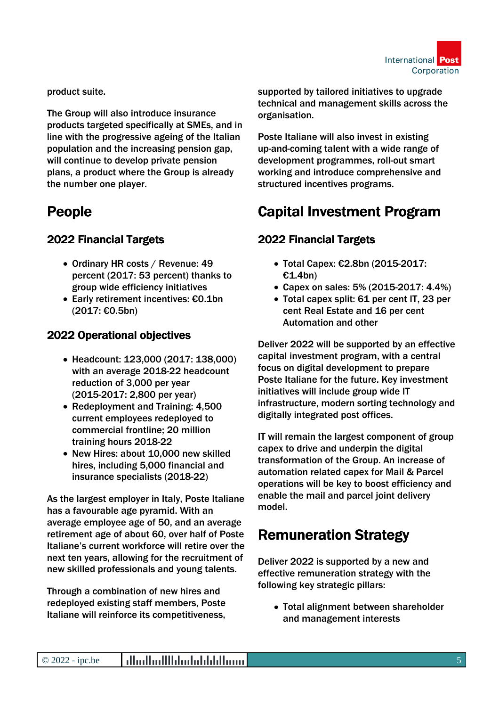

product suite.

The Group will also introduce insurance products targeted specifically at SMEs, and in line with the progressive ageing of the Italian population and the increasing pension gap, will continue to develop private pension plans, a product where the Group is already the number one player.

### People

### 2022 Financial Targets

- Ordinary HR costs / Revenue: 49 percent (2017: 53 percent) thanks to group wide efficiency initiatives
- Early retirement incentives: €0.1bn (2017: €0.5bn)

### 2022 Operational objectives

- Headcount: 123,000 (2017: 138,000) with an average 2018-22 headcount reduction of 3,000 per year (2015-2017: 2,800 per year)
- Redeployment and Training: 4,500 current employees redeployed to commercial frontline; 20 million training hours 2018-22
- New Hires: about 10,000 new skilled hires, including 5,000 financial and insurance specialists (2018-22)

As the largest employer in Italy, Poste Italiane has a favourable age pyramid. With an average employee age of 50, and an average retirement age of about 60, over half of Poste Italiane's current workforce will retire over the next ten years, allowing for the recruitment of new skilled professionals and young talents.

Through a combination of new hires and redeployed existing staff members, Poste Italiane will reinforce its competitiveness,

supported by tailored initiatives to upgrade technical and management skills across the organisation.

Poste Italiane will also invest in existing up-and-coming talent with a wide range of development programmes, roll-out smart working and introduce comprehensive and structured incentives programs.

# Capital Investment Program

### 2022 Financial Targets

- Total Capex: €2.8bn (2015-2017: €1.4bn)
- Capex on sales: 5% (2015-2017: 4.4%)
- Total capex split: 61 per cent IT, 23 per cent Real Estate and 16 per cent Automation and other

Deliver 2022 will be supported by an effective capital investment program, with a central focus on digital development to prepare Poste Italiane for the future. Key investment initiatives will include group wide IT infrastructure, modern sorting technology and digitally integrated post offices.

IT will remain the largest component of group capex to drive and underpin the digital transformation of the Group. An increase of automation related capex for Mail & Parcel operations will be key to boost efficiency and enable the mail and parcel joint delivery model.

# Remuneration Strategy

Deliver 2022 is supported by a new and effective remuneration strategy with the following key strategic pillars:

Total alignment between shareholder and management interests